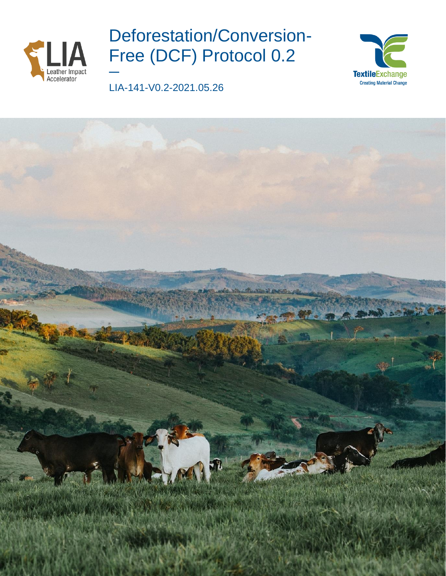

# Deforestation/Conversion-Free (DCF) Protocol 0.2

LIA-141-V0.2-2021.05.26

**—**



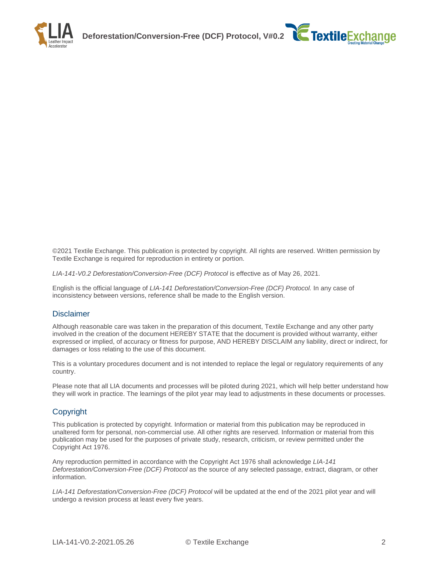



©2021 Textile Exchange. This publication is protected by copyright. All rights are reserved. Written permission by Textile Exchange is required for reproduction in entirety or portion.

*LIA-141-V0.2 Deforestation/Conversion-Free (DCF) Protocol* is effective as of May 26, 2021.

English is the official language of *LIA-141 Deforestation/Conversion-Free (DCF) Protocol.* In any case of inconsistency between versions, reference shall be made to the English version.

#### Disclaimer

Although reasonable care was taken in the preparation of this document, Textile Exchange and any other party involved in the creation of the document HEREBY STATE that the document is provided without warranty, either expressed or implied, of accuracy or fitness for purpose, AND HEREBY DISCLAIM any liability, direct or indirect, for damages or loss relating to the use of this document.

This is a voluntary procedures document and is not intended to replace the legal or regulatory requirements of any country.

Please note that all LIA documents and processes will be piloted during 2021, which will help better understand how they will work in practice. The learnings of the pilot year may lead to adjustments in these documents or processes.

#### Copyright

This publication is protected by copyright. Information or material from this publication may be reproduced in unaltered form for personal, non-commercial use. All other rights are reserved. Information or material from this publication may be used for the purposes of private study, research, criticism, or review permitted under the Copyright Act 1976.

Any reproduction permitted in accordance with the Copyright Act 1976 shall acknowledge *LIA-141 Deforestation/Conversion-Free (DCF) Protocol* as the source of any selected passage, extract, diagram, or other information.

*LIA-141 Deforestation/Conversion-Free (DCF) Protocol* will be updated at the end of the 2021 pilot year and will undergo a revision process at least every five years.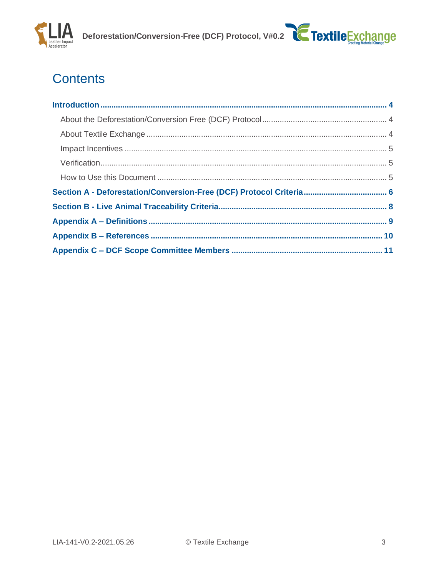



## **Contents**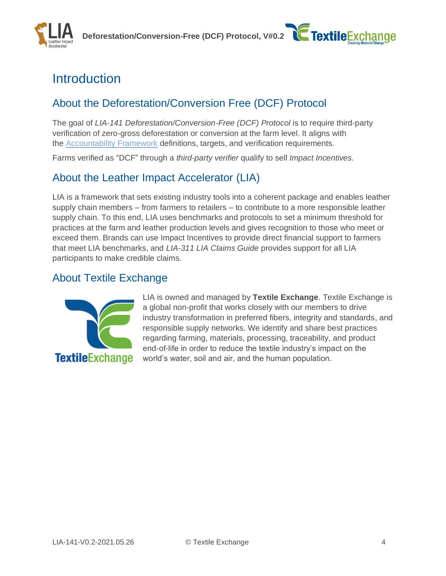Deforestation/Conversion-Free (DCF) Protocol, V#0.2 **C Textile**Exchange



## <span id="page-3-0"></span>**Introduction**

### <span id="page-3-1"></span>About the Deforestation/Conversion Free (DCF) Protocol

The goal of *LIA-141 Deforestation/Conversion-Free (DCF) Protocol* is to require third-party verification of zero-gross deforestation or conversion at the farm level. It aligns with the [Accountability Framework](https://accountability-framework.org/definitions-redirected/) definitions, targets, and verification requirements.

Farms verified as "DCF" through a *third-party verifier* qualify to sell *Impact Incentives.*

### About the Leather Impact Accelerator (LIA)

LIA is a framework that sets existing industry tools into a coherent package and enables leather supply chain members – from farmers to retailers – to contribute to a more responsible leather supply chain. To this end, LIA uses benchmarks and protocols to set a minimum threshold for practices at the farm and leather production levels and gives recognition to those who meet or exceed them. Brands can use Impact Incentives to provide direct financial support to farmers that meet LIA benchmarks, and *LIA-311 LIA Claims Guide* provides support for all LIA participants to make credible claims.

### <span id="page-3-2"></span>About Textile Exchange



LIA is owned and managed by **Textile Exchange**. Textile Exchange is a global non-profit that works closely with our members to drive industry transformation in preferred fibers, integrity and standards, and responsible supply networks. We identify and share best practices regarding farming, materials, processing, traceability, and product end-of-life in order to reduce the textile industry's impact on the world's water, soil and air, and the human population.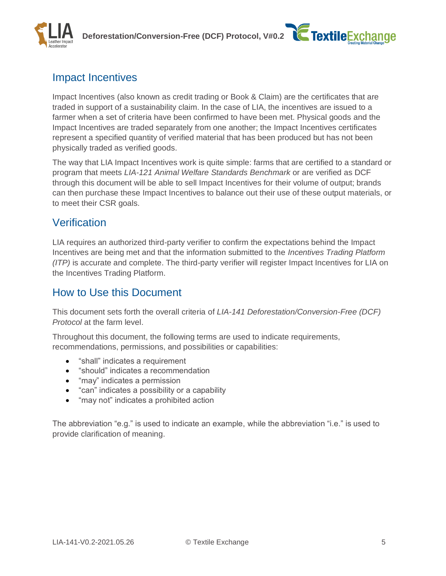



### <span id="page-4-0"></span>Impact Incentives

Impact Incentives (also known as credit trading or Book & Claim) are the certificates that are traded in support of a sustainability claim. In the case of LIA, the incentives are issued to a farmer when a set of criteria have been confirmed to have been met. Physical goods and the Impact Incentives are traded separately from one another; the Impact Incentives certificates represent a specified quantity of verified material that has been produced but has not been physically traded as verified goods.

The way that LIA Impact Incentives work is quite simple: farms that are certified to a standard or program that meets *LIA-121 Animal Welfare Standards Benchmark* or are verified as DCF through this document will be able to sell Impact Incentives for their volume of output; brands can then purchase these Impact Incentives to balance out their use of these output materials, or to meet their CSR goals.

### <span id="page-4-1"></span>Verification

LIA requires an authorized third-party verifier to confirm the expectations behind the Impact Incentives are being met and that the information submitted to the *Incentives Trading Platform (ITP)* is accurate and complete. The third-party verifier will register Impact Incentives for LIA on the Incentives Trading Platform.

### <span id="page-4-2"></span>How to Use this Document

This document sets forth the overall criteria of *LIA-141 Deforestation/Conversion-Free (DCF) Protocol* at the farm level.

Throughout this document, the following terms are used to indicate requirements, recommendations, permissions, and possibilities or capabilities:

- "shall" indicates a requirement
- "should" indicates a recommendation
- "may" indicates a permission
- "can" indicates a possibility or a capability
- "may not" indicates a prohibited action

The abbreviation "e.g." is used to indicate an example, while the abbreviation "i.e." is used to provide clarification of meaning.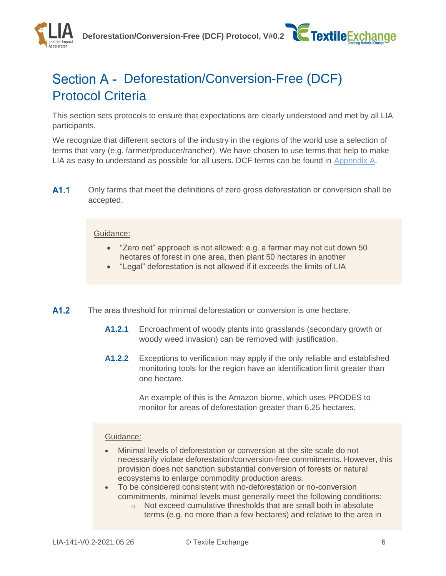Deforestation/Conversion-Free (DCF) Protocol, V#0.2 **C Textile**Exchange

<span id="page-5-0"></span>

This section sets protocols to ensure that expectations are clearly understood and met by all LIA participants.

We recognize that different sectors of the industry in the regions of the world use a selection of terms that vary (e.g. farmer/producer/rancher). We have chosen to use terms that help to make LIA as easy to understand as possible for all users. DCF terms can be found in [Appendix A.](#page-8-0)

 $A1.1$ Only farms that meet the definitions of zero gross deforestation or conversion shall be accepted.

#### Guidance:

- "Zero net" approach is not allowed: e.g. a farmer may not cut down 50 hectares of forest in one area, then plant 50 hectares in another
- "Legal" deforestation is not allowed if it exceeds the limits of LIA
- $A1.2$ The area threshold for minimal deforestation or conversion is one hectare.
	- **A1.2.1** Encroachment of woody plants into grasslands (secondary growth or woody weed invasion) can be removed with justification.
	- **A1.2.2** Exceptions to verification may apply if the only reliable and established monitoring tools for the region have an identification limit greater than one hectare.

An example of this is the Amazon biome, which uses PRODES to monitor for areas of deforestation greater than 6.25 hectares.

#### Guidance:

- Minimal levels of deforestation or conversion at the site scale do not necessarily violate deforestation/conversion-free commitments. However, this provision does not sanction substantial conversion of forests or natural ecosystems to enlarge commodity production areas.
- To be considered consistent with no-deforestation or no-conversion commitments, minimal levels must generally meet the following conditions:
	- o Not exceed cumulative thresholds that are small both in absolute terms (e.g. no more than a few hectares) and relative to the area in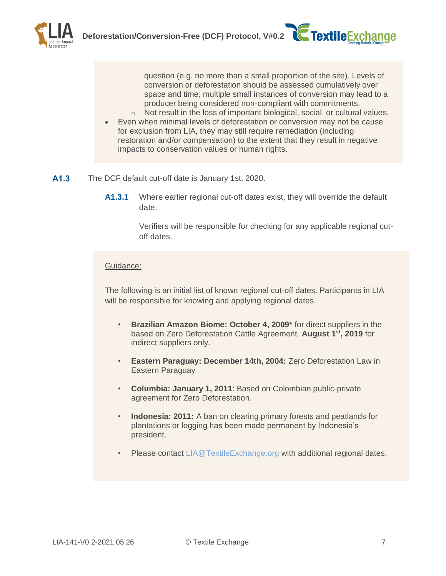question (e.g. no more than a small proportion of the site). Levels of conversion or deforestation should be assessed cumulatively over space and time; multiple small instances of conversion may lead to a producer being considered non-compliant with commitments.

- o Not result in the loss of important biological, social, or cultural values.
- Even when minimal levels of deforestation or conversion may not be cause for exclusion from LIA, they may still require remediation (including restoration and/or compensation) to the extent that they result in negative impacts to conservation values or human rights.
- $A1.3$ The DCF default cut-off date is January 1st, 2020.
	- **A1.3.1** Where earlier regional cut-off dates exist, they will override the default date.

Verifiers will be responsible for checking for any applicable regional cutoff dates.

#### Guidance:

The following is an initial list of known regional cut-off dates. Participants in LIA will be responsible for knowing and applying regional dates.

- **Brazilian Amazon Biome: October 4, 2009\*** for direct suppliers in the based on Zero Deforestation Cattle Agreement. **August 1st, 2019** for indirect suppliers only.
- **Eastern Paraguay: December 14th, 2004:** Zero Deforestation Law in Eastern Paraguay
- **Columbia: January 1, 2011**: Based on Colombian public-private agreement for Zero Deforestation.
- **Indonesia: 2011:** A ban on clearing primary forests and peatlands for plantations or logging has been made permanent by Indonesia's president.
- Please contact [LIA@TextileExchange.org](mailto:LIA@TextileExchange.org) with additional regional dates.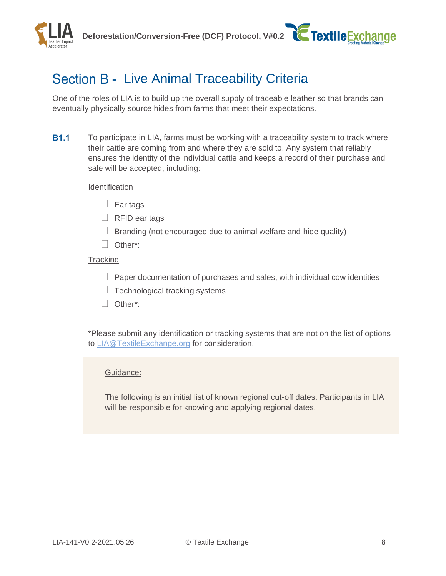

## <span id="page-7-0"></span>Section B - Live Animal Traceability Criteria

One of the roles of LIA is to build up the overall supply of traceable leather so that brands can eventually physically source hides from farms that meet their expectations.

**B1.1** To participate in LIA, farms must be working with a traceability system to track where their cattle are coming from and where they are sold to. Any system that reliably ensures the identity of the individual cattle and keeps a record of their purchase and sale will be accepted, including:

#### **Identification**

- $\Box$  Ear tags
- $\Box$  RFID ear tags
- $\Box$  Branding (not encouraged due to animal welfare and hide quality)
- □ Other\*:

#### **Tracking**

- $\Box$  Paper documentation of purchases and sales, with individual cow identities
- $\Box$  Technological tracking systems
- Other\*:

\*Please submit any identification or tracking systems that are not on the list of options to [LIA@TextileExchange.org](mailto:LIA@TextileExchange.org) for consideration.

#### Guidance:

The following is an initial list of known regional cut-off dates. Participants in LIA will be responsible for knowing and applying regional dates.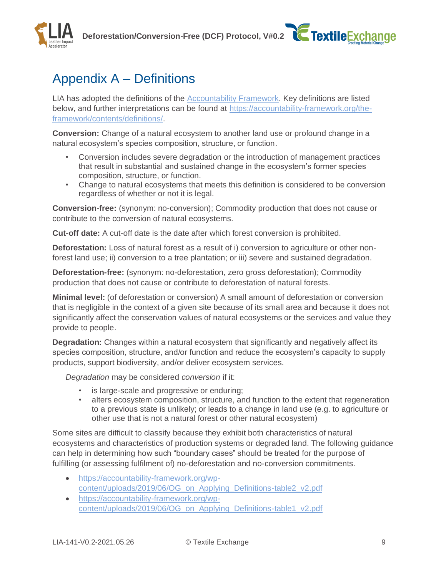



## <span id="page-8-0"></span>Appendix A – Definitions

LIA has adopted the definitions of the **Accountability Framework**. Key definitions are listed below, and further interpretations can be found at [https://accountability-framework.org/the](https://accountability-framework.org/the-framework/contents/definitions/)[framework/contents/definitions/.](https://accountability-framework.org/the-framework/contents/definitions/)

**Conversion:** Change of a natural ecosystem to another land use or profound change in a natural ecosystem's species composition, structure, or function.

- Conversion includes severe degradation or the introduction of management practices that result in substantial and sustained change in the ecosystem's former species composition, structure, or function.
- Change to natural ecosystems that meets this definition is considered to be conversion regardless of whether or not it is legal.

**Conversion-free:** (synonym: no-conversion); Commodity production that does not cause or contribute to the conversion of natural ecosystems.

**Cut-off date:** A cut-off date is the date after which forest conversion is prohibited.

**Deforestation:** Loss of natural forest as a result of i) conversion to agriculture or other nonforest land use; ii) conversion to a tree plantation; or iii) severe and sustained degradation.

**Deforestation-free:** (synonym: no-deforestation, zero gross deforestation); Commodity production that does not cause or contribute to deforestation of natural forests.

**Minimal level:** (of deforestation or conversion) A small amount of deforestation or conversion that is negligible in the context of a given site because of its small area and because it does not significantly affect the conservation values of natural ecosystems or the services and value they provide to people.

**Degradation:** Changes within a natural ecosystem that significantly and negatively affect its species composition, structure, and/or function and reduce the ecosystem's capacity to supply products, support biodiversity, and/or deliver ecosystem services.

*Degradation* may be considered *conversion* if it:

- is large-scale and progressive or enduring;
- alters ecosystem composition, structure, and function to the extent that regeneration to a previous state is unlikely; or leads to a change in land use (e.g. to agriculture or other use that is not a natural forest or other natural ecosystem)

Some sites are difficult to classify because they exhibit both characteristics of natural ecosystems and characteristics of production systems or degraded land. The following guidance can help in determining how such "boundary cases" should be treated for the purpose of fulfilling (or assessing fulfilment of) no-deforestation and no-conversion commitments.

- [https://accountability-framework.org/wp](https://accountability-framework.org/wp-content/uploads/2019/06/OG_on_Applying_Definitions-table2_v2.pdf)[content/uploads/2019/06/OG\\_on\\_Applying\\_Definitions-table2\\_v2.pdf](https://accountability-framework.org/wp-content/uploads/2019/06/OG_on_Applying_Definitions-table2_v2.pdf)
- [https://accountability-framework.org/wp](https://accountability-framework.org/wp-content/uploads/2019/06/OG_on_Applying_Definitions-table1_v2.pdf)[content/uploads/2019/06/OG\\_on\\_Applying\\_Definitions-table1\\_v2.pdf](https://accountability-framework.org/wp-content/uploads/2019/06/OG_on_Applying_Definitions-table1_v2.pdf)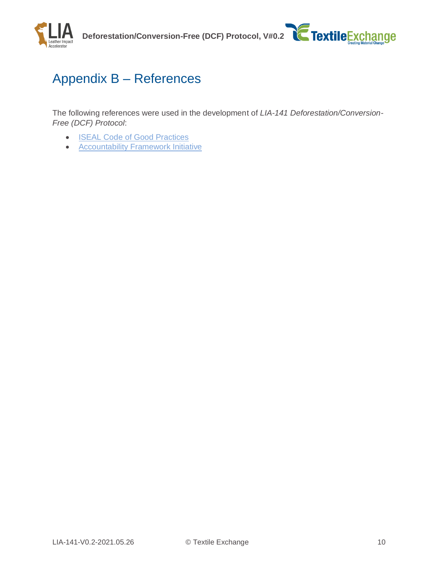



## <span id="page-9-0"></span>Appendix B – References

The following references were used in the development of *LIA-141 Deforestation/Conversion-Free (DCF) Protocol*:

- [ISEAL Code of Good Practices](mailto:https://www.isealalliance.org/credible-sustainability-standards/iseal-codes-good-practice)
- [Accountability Framework Initiative](mailto:https://accountability-framework.org/)